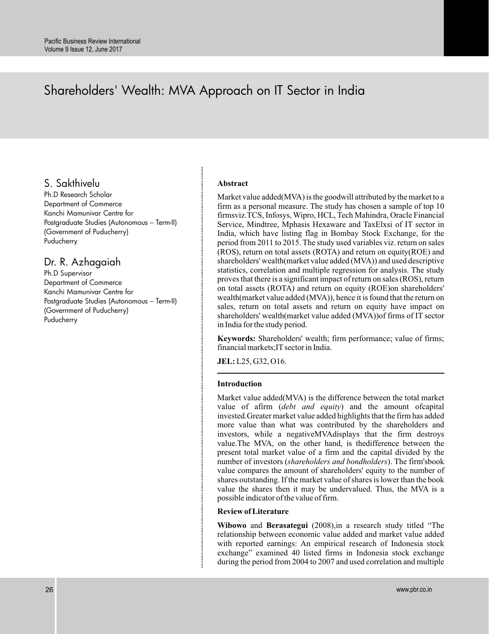# Shareholders' Wealth: MVA Approach on IT Sector in India

### S. Sakthivelu

Ph.D Research Scholar Department of Commerce Kanchi Mamunivar Centre for Postgraduate Studies (Autonomous – Term-II) (Government of Puducherry) Puducherry

### Dr. R. Azhagaiah

Ph.D Supervisor Department of Commerce Kanchi Mamunivar Centre for Postgraduate Studies (Autonomous – Term-II) (Government of Puducherry) **Puducherry** 

#### **Abstract**

Market value added(MVA) is the goodwill attributed by the market to a firm as a personal measure. The study has chosen a sample of top 10 firmsviz.TCS, Infosys, Wipro, HCL, Tech Mahindra, Oracle Financial Service, Mindtree, Mphasis Hexaware and TaxElxsi of IT sector in India, which have listing flag in Bombay Stock Exchange, for the period from 2011 to 2015. The study used variables viz. return on sales (ROS), return on total assets (ROTA) and return on equity(ROE) and shareholders' wealth(market value added (MVA)) and used descriptive statistics, correlation and multiple regression for analysis. The study proves that there is a significant impact of return on sales (ROS), return on total assets (ROTA) and return on equity (ROE)on shareholders' wealth(market value added (MVA)), hence it is found that the return on sales, return on total assets and return on equity have impact on shareholders' wealth(market value added (MVA))of firms of IT sector in India for the study period.

**Keywords:** Shareholders' wealth; firm performance; value of firms; financial markets;IT sector in India.

**JEL:** L25, G32, O16.

#### **Introduction**

Market value added(MVA) is the difference between the total market value of afirm (debt and equity) and the amount ofcapital invested.Greater market value added highlights that the firm has added more value than what was contributed by the shareholders and investors, while a negativeMVAdisplays that the firm destroys value.The MVA, on the other hand, is thedifference between the present total market value of a firm and the capital divided by the number of investors (shareholders and bondholders). The firm'sbook value compares the amount of shareholders' equity to the number of shares outstanding. If the market value of shares is lower than the book value the shares then it may be undervalued. Thus, the MVA is a possible indicator of the value of firm.

#### **Review of Literature**

Wibowo and Berasategui (2008), in a research study titled "The relationship between economic value added and market value added with reported earnings: An empirical research of Indonesia stock exchange" examined 40 listed firms in Indonesia stock exchange during the period from 2004 to 2007 and used correlation and multiple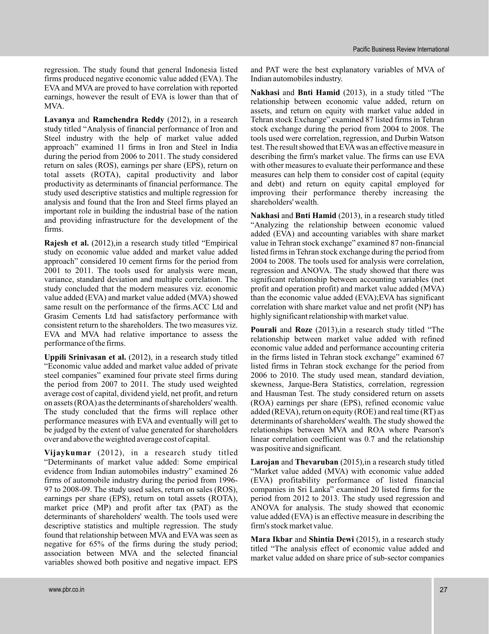regression. The study found that general Indonesia listed firms produced negative economic value added (EVA). The EVA and MVA are proved to have correlation with reported earnings, however the result of EVA is lower than that of MVA.

Lavanya and Ramchendra Reddy (2012), in a research study titled "Analysis of financial performance of Iron and Steel industry with the help of market value added approach" examined 11 firms in Iron and Steel in India during the period from 2006 to 2011. The study considered return on sales (ROS), earnings per share (EPS), return on total assets (ROTA), capital productivity and labor productivity as determinants of financial performance. The study used descriptive statistics and multiple regression for analysis and found that the Iron and Steel firms played an important role in building the industrial base of the nation and providing infrastructure for the development of the firms.

**Rajesh et al.** (2012), in a research study titled "Empirical study on economic value added and market value added approach" considered 10 cement firms for the period from 2001 to 2011. The tools used for analysis were mean, variance, standard deviation and multiple correlation. The study concluded that the modern measures viz. economic value added (EVA) and market value added (MVA) showed same result on the performance of the firms.ACC Ltd and Grasim Cements Ltd had satisfactory performance with consistent return to the shareholders. The two measures viz. EVA and MVA had relative importance to assess the performance of the firms.

Uppili Srinivasan et al. (2012), in a research study titled "Economic value added and market value added of private steel companies" examined four private steel firms during the period from 2007 to 2011. The study used weighted average cost of capital, dividend yield, net profit, and return on assets (ROA) as the determinants of shareholders' wealth. The study concluded that the firms will replace other performance measures with EVA and eventually will get to be judged by the extent of value generated for shareholders over and above the weighted average cost of capital.

(2012), in a research study titled **Vijaykumar** "Determinants of market value added: Some empirical evidence from Indian automobiles industry" examined 26 firms of automobile industry during the period from 1996- 97 to 2008-09. The study used sales, return on sales (ROS), earnings per share (EPS), return on total assets (ROTA), market price (MP) and profit after tax (PAT) as the determinants of shareholders' wealth. The tools used were descriptive statistics and multiple regression. The study found that relationship between MVA and EVA was seen as negative for 65% of the firms during the study period; association between MVA and the selected financial variables showed both positive and negative impact. EPS

and PAT were the best explanatory variables of MVA of Indian automobiles industry.

Nakhasi and Bnti Hamid (2013), in a study titled "The relationship between economic value added, return on assets, and return on equity with market value added in Tehran stock Exchange" examined 87 listed firms in Tehran stock exchange during the period from 2004 to 2008. The tools used were correlation, regression, and Durbin Watson test. The result showed that EVAwas an effective measure in describing the firm's market value. The firms can use EVA with other measures to evaluate their performance and these measures can help them to consider cost of capital (equity and debt) and return on equity capital employed for improving their performance thereby increasing the shareholders' wealth.

Nakhasi and Bnti Hamid (2013), in a research study titled "Analyzing the relationship between economic valued added (EVA) and accounting variables with share market value in Tehran stock exchange" examined 87 non-financial listed firms in Tehran stock exchange during the period from 2004 to 2008. The tools used for analysis were correlation, regression and ANOVA. The study showed that there was significant relationship between accounting variables (net profit and operation profit) and market value added (MVA) than the economic value added (EVA);EVA has significant correlation with share market value and net profit (NP) has highly significant relationship with market value.

Pourali and Roze (2013), in a research study titled "The relationship between market value added with refined economic value added and performance accounting criteria in the firms listed in Tehran stock exchange" examined 67 listed firms in Tehran stock exchange for the period from 2006 to 2010. The study used mean, standard deviation, skewness, Jarque-Bera Statistics, correlation, regression and Hausman Test. The study considered return on assets (ROA) earnings per share (EPS), refined economic value added (REVA), return on equity (ROE) and real time (RT) as determinants of shareholders' wealth. The study showed the relationships between MVA and ROA where Pearson's linear correlation coefficient was 0.7 and the relationship was positive and significant.

Larojan and Thevaruban (2015), in a research study titled "Market value added (MVA) with economic value added (EVA) profitability performance of listed financial companies in Sri Lanka" examined 20 listed firms for the period from 2012 to 2013. The study used regression and ANOVA for analysis. The study showed that economic value added (EVA) is an effective measure in describing the firm's stock market value.

Mara Ikbar and Shintia Dewi (2015), in a research study titled "The analysis effect of economic value added and market value added on share price of sub-sector companies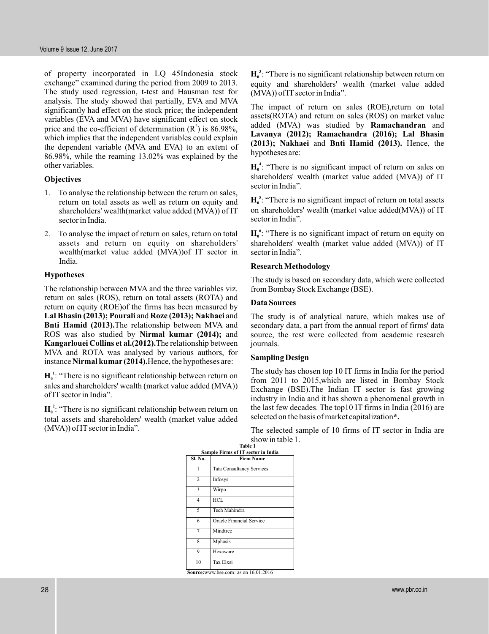of property incorporated in LQ 45Indonesia stock exchange" examined during the period from 2009 to 2013. The study used regression, t-test and Hausman test for analysis. The study showed that partially, EVA and MVA significantly had effect on the stock price; the independent variables (EVA and MVA) have significant effect on stock price and the co-efficient of determination  $(R^2)$  is 86.98%, which implies that the independent variables could explain the dependent variable (MVA and EVA) to an extent of 86.98%, while the reaming 13.02% was explained by the other variables.

#### **Objectives**

- 1. To analyse the relationship between the return on sales, return on total assets as well as return on equity and shareholders' wealth(market value added (MVA)) of IT sector in India.
- 2. To analyse the impact of return on sales, return on total assets and return on equity on shareholders' wealth(market value added (MVA))of IT sector in India.

#### **Hypotheses**

The relationship between MVA and the three variables viz. return on sales (ROS), return on total assets (ROTA) and return on equity (ROE)of the firms has been measured by Lal Bhasin (2013); Pourali and Roze (2013); Nakhaei and Bnti Hamid (2013). The relationship between MVA and ROS was also studied by Nirmal kumar (2014); and Kangarlouei Collins et al.(2012). The relationship between MVA and ROTA was analysed by various authors, for instance Nirmal kumar (2014). Hence, the hypotheses are:

 $H_0^1$ : "There is no significant relationship between return on sales and shareholders' wealth (market value added (MVA)) of IT sector in India".

 $H_0^2$ : "There is no significant relationship between return on total assets and shareholders' wealth (market value added (MVA)) of IT sector in India".

 $H_0^3$ : "There is no significant relationship between return on equity and shareholders' wealth (market value added (MVA)) of IT sector in India".

The impact of return on sales (ROE),return on total assets(ROTA) and return on sales (ROS) on market value added (MVA) was studied by **Ramachandran** and (2013); Nakhaei and Bnti Hamid (2013). Hence, the hypotheses are: **Lavanya (2012); Ramachandra (2016); Lal Bhasin**

 $H_0^4$ : "There is no significant impact of return on sales on shareholders' wealth (market value added (MVA)) of IT sector in India".

: "There is no significant impact of return on total assets **H 0 5** on shareholders' wealth (market value added(MVA)) of IT sector in India".

: "There is no significant impact of return on equity on **H 0 6** shareholders' wealth (market value added (MVA)) of IT sector in India".

#### **Research Methodology**

The study is based on secondary data, which were collected from Bombay Stock Exchange (BSE).

#### **Data Sources**

The study is of analytical nature, which makes use of secondary data, a part from the annual report of firms' data source, the rest were collected from academic research journals.

#### **Sampling Design**

The study has chosen top 10 IT firms in India for the period from 2011 to 2015,which are listed in Bombay Stock Exchange (BSE).The Indian IT sector is fast growing industry in India and it has shown a phenomenal growth in the last few decades. The top10 IT firms in India (2016) are selected on the basis of market capitalization **\*.**

The selected sample of 10 firms of IT sector in India are show in table 1.

|                | Table 1<br>Sample Firms of IT sector in India |  |  |  |  |
|----------------|-----------------------------------------------|--|--|--|--|
| Sl. No.        | <b>Firm Name</b>                              |  |  |  |  |
| 1              | <b>Tata Consultancy Services</b>              |  |  |  |  |
| $\overline{c}$ | Infosys                                       |  |  |  |  |
| 3              | Wirpo                                         |  |  |  |  |
| 4              | HCL                                           |  |  |  |  |
| 5              | Tech Mahindra                                 |  |  |  |  |
| 6              | Oracle Financial Service                      |  |  |  |  |
| 7              | Mindtree                                      |  |  |  |  |
| 8              | Mphasis                                       |  |  |  |  |
| 9              | Hexaware                                      |  |  |  |  |
| 10             | Tax Elxsi                                     |  |  |  |  |
|                | Source: www.bse.com: as on 16.01.2016         |  |  |  |  |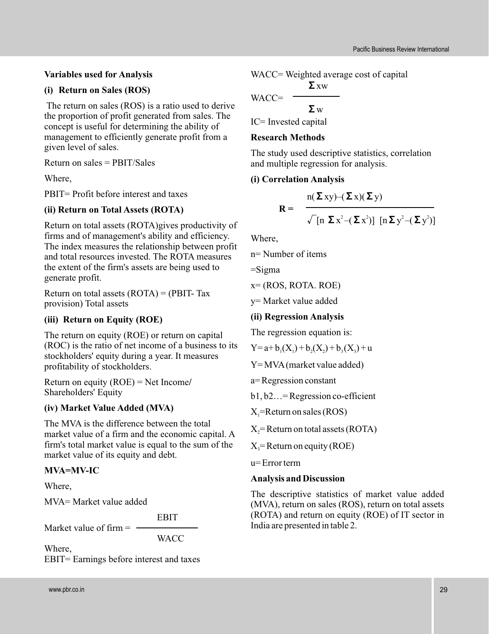# **Variables used for Analysis**

# **(i) Return on Sales (ROS)**

The return on sales (ROS) is a ratio used to derive the proportion of profit generated from sales. The concept is useful for determining the ability of management to efficiently generate profit from a given level of sales.

Return on sales = PBIT/Sales

Where,

PBIT= Profit before interest and taxes

# **(ii) Return on Total Assets (ROTA)**

Return on total assets (ROTA)gives productivity of firms and of management's ability and efficiency. The index measures the relationship between profit and total resources invested. The ROTA measures the extent of the firm's assets are being used to generate profit.

Return on total assets  $(ROTA) = (PBIT- Tax)$ provision) Total assets

# **(iii) Return on Equity (ROE)**

The return on equity (ROE) or return on capital (ROC) is the ratio of net income of a business to its stockholders' equity during a year. It measures profitability of stockholders.

**/** Return on equity (ROE) = Net Income Shareholders' Equity

# **(iv) Market Value Added (MVA)**

The MVA is the difference between the total market value of a firm and the economic capital. A firm's total market value is equal to the sum of the market value of its equity and debt.

# **MVA=MV-IC**

Where,

MVA= Market value added

EBIT

Market value of firm  $=$   $-$ 

**WACC** 

Where, EBIT= Earnings before interest and taxes WACC= Weighted average cost of capital

$$
WACC = \frac{\Sigma xw}{\Sigma w}
$$

IC= Invested capital

# **Research Methods**

The study used descriptive statistics, correlation and multiple regression for analysis.

# **(i) Correlation Analysis**

$$
\mathbf{R} = \frac{\mathbf{n}(\boldsymbol{\Sigma} \mathbf{x} \mathbf{y}) - (\boldsymbol{\Sigma} \mathbf{x})(\boldsymbol{\Sigma} \mathbf{y})}{\sqrt{\left[\mathbf{n} \ \boldsymbol{\Sigma} \mathbf{x}^2 - (\boldsymbol{\Sigma} \mathbf{x}^2)\right] \left[\mathbf{n} \boldsymbol{\Sigma} \mathbf{y}^2 - (\boldsymbol{\Sigma} \mathbf{y}^2)\right]}}
$$

Where,

n= Number of items

 $=$ Sigma

 $x=(ROS, ROTA, ROE)$ 

y= Market value added

### **(ii) Regression Analysis**

The regression equation is:

$$
Y = a + b_1(X_1) + b_2(X_2) + b_3(X_3) + u
$$

$$
Y = MVA (market value added)
$$

a= Regression constant

b1, b2…= Regression co-efficient

 $X_i$ =Return on sales (ROS)

 $X_2$ = Return on total assets (ROTA)

 $X_3$ = Return on equity (ROE)

u= Error term

### **Analysis and Discussion**

The descriptive statistics of market value added (MVA), return on sales (ROS), return on total assets (ROTA) and return on equity (ROE) of IT sector in India are presented in table 2.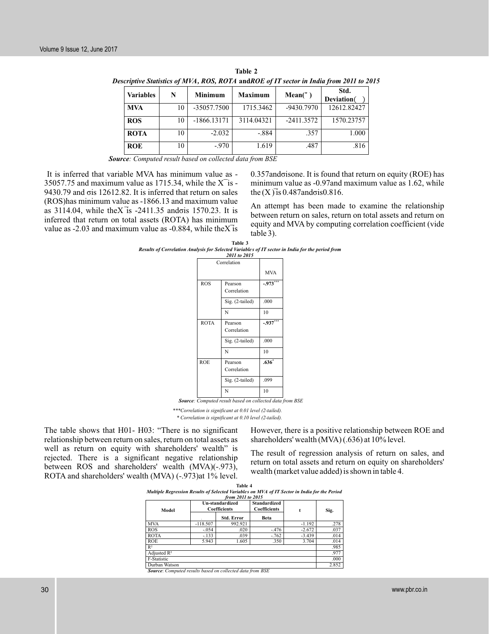| <b>Variables</b> | N  | Minimum       | Maximum    | Mean(")      | Std.<br>Deviation( |
|------------------|----|---------------|------------|--------------|--------------------|
| <b>MVA</b>       | 10 | -35057.7500   | 1715.3462  | -9430.7970   | 12612.82427        |
| <b>ROS</b>       | 10 | $-1866.13171$ | 3114.04321 | $-2411.3572$ | 1570.23757         |
| <b>ROTA</b>      | 10 | $-2.032$      | $-.884$    | .357         | 1.000              |
| <b>ROE</b>       | 10 | $-.970$       | 1.619      | .487         | .816               |

**Table 2** *Descriptive Statistics of MVA, ROS, ROTA* **and***ROE of IT sector in India from 2011 to 2015*

*Source: Computed result based on collected data from BSE*

It is inferred that variable MVA has minimum value as - 35057.75 and maximum value as 1715.34, while the  $X$ <sup>is -</sup> 9430.79 and σis 12612.82. It is inferred that return on sales (ROS)has minimum value as -1866.13 and maximum value as 3114.04, while the  $X$ <sup>1</sup>s -2411.35 and ois 1570.23. It is inferred that return on total assets (ROTA) has minimum value as  $-2.03$  and maximum value as  $-0.884$ , while the X<sup>-3</sup> is

0.357andσisone. It is found that return on equity (ROE) has minimum value as -0.97and maximum value as 1.62, while the  $(X)$  is 0.487 and  $\sigma$  is 0.816.

An attempt has been made to examine the relationship between return on sales, return on total assets and return on equity and MVA by computing correlation coefficient (vide table 3).

| Table 3                                                                                          |
|--------------------------------------------------------------------------------------------------|
| Results of Correlation Analysis for Selected Variables of IT sector in India for the period from |
|                                                                                                  |

|             | 2011 to 2015           |            |
|-------------|------------------------|------------|
|             | Correlation            |            |
|             |                        | <b>MVA</b> |
| <b>ROS</b>  | Pearson<br>Correlation | $-.973***$ |
|             | Sig. (2-tailed)        | .000       |
|             | N                      | 10         |
| <b>ROTA</b> | Pearson<br>Correlation | $-937***$  |
|             | Sig. (2-tailed)        | .000       |
|             | N                      | 10         |
| <b>ROE</b>  | Pearson<br>Correlation | $.636*$    |
|             | Sig. (2-tailed)        | .099       |
|             | N                      | 10         |
|             |                        |            |

*Source: Computed result based on collected data from BSE*

*\*\*\*Correlation is significant at 0.01 level (2-tailed). \* Correlation is significant at 0.10 level (2-tailed).*

The table shows that H01- H03: "There is no significant relationship between return on sales, return on total assets as well as return on equity with shareholders' wealth" is rejected. There is a significant negative relationship between ROS and shareholders' wealth (MVA)(-.973), ROTA and shareholders' wealth (MVA) (-.973)at 1% level.

However, there is a positive relationship between ROE and shareholders' wealth (MVA) (.636) at 10% level.

The result of regression analysis of return on sales, and return on total assets and return on equity on shareholders' wealth (market value added) is shown in table 4.

|                                                                                               |                 | Table 4             |                     |          |       |  |  |  |  |
|-----------------------------------------------------------------------------------------------|-----------------|---------------------|---------------------|----------|-------|--|--|--|--|
| Multiple Regression Results of Selected Variables on MVA of IT Sector in India for the Period |                 |                     |                     |          |       |  |  |  |  |
| from 2011 to 2015                                                                             |                 |                     |                     |          |       |  |  |  |  |
|                                                                                               | Un-standardized |                     | <b>Standardized</b> |          |       |  |  |  |  |
| Model                                                                                         |                 | <b>Coefficients</b> | Coefficients        | t        | Sig.  |  |  |  |  |
|                                                                                               |                 | Std. Error          | Beta                |          |       |  |  |  |  |
| <b>MVA</b>                                                                                    | $-118.507$      | 992.921             |                     | $-1.192$ | .278  |  |  |  |  |
| <b>ROS</b>                                                                                    | $-.054$         | .020                | $-.476$             | $-2.672$ | .037  |  |  |  |  |
| <b>ROTA</b>                                                                                   | $-.133$         | .039                | $-.762$             | $-3.439$ | .014  |  |  |  |  |
| <b>ROE</b>                                                                                    | 5.943           | 1.605               | .350                | 3.704    | .014  |  |  |  |  |
| $R^2$                                                                                         |                 |                     |                     |          | .985  |  |  |  |  |
| Adjusted $R^2$                                                                                |                 |                     |                     |          | .977  |  |  |  |  |
| F-Statistic                                                                                   |                 |                     |                     |          | .000  |  |  |  |  |
| $T = 1$                                                                                       |                 |                     |                     |          | 0.052 |  |  |  |  |

Durban Watson 2.852 *Source*: *Computed results based on collected data from BSE*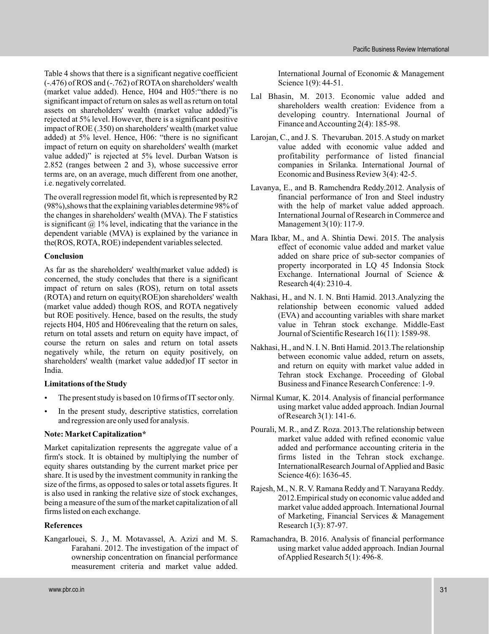Table 4 shows that there is a significant negative coefficient (-.476) of ROS and (-.762) of ROTA on shareholders' wealth (market value added). Hence, H04 and H05:"there is no significant impact of return on sales as well as return on total assets on shareholders' wealth (market value added)"is rejected at 5% level. However, there is a significant positive impact of ROE (.350) on shareholders' wealth (market value added) at 5% level. Hence, H06: "there is no significant impact of return on equity on shareholders' wealth (market value added)" is rejected at 5% level. Durban Watson is 2.852 (ranges between 2 and 3), whose successive error terms are, on an average, much different from one another, i.e. negatively correlated.

The overall regression model fit, which is represented by R2 (98%),shows that the explaining variables determine 98% of the changes in shareholders' wealth (MVA). The F statistics is significant  $\omega$  1% level, indicating that the variance in the dependent variable (MVA) is explained by the variance in the(ROS, ROTA, ROE) independent variables selected.

#### **Conclusion**

As far as the shareholders' wealth(market value added) is concerned, the study concludes that there is a significant impact of return on sales (ROS), return on total assets (ROTA) and return on equity(ROE)on shareholders' wealth (market value added) though ROS, and ROTA negatively but ROE positively. Hence, based on the results, the study rejects H04, H05 and H06revealing that the return on sales, return on total assets and return on equity have impact, of course the return on sales and return on total assets negatively while, the return on equity positively, on shareholders' wealth (market value added)of IT sector in India.

#### **Limitations of the Study**

- The present study is based on 10 firms of IT sector only. .
- In the present study, descriptive statistics, correlation and regression are only used for analysis. .

#### **Note: Market Capitalization\***

Market capitalization represents the aggregate value of a firm's stock. It is obtained by multiplying the number of equity shares outstanding by the current market price per share. It is used by the investment community in ranking the size of the firms, as opposed to sales or total assets figures. It is also used in ranking the relative size of stock exchanges, being a measure of the sum of the market capitalization of all firms listed on each exchange.

#### **References**

Kangarlouei, S. J., M. Motavassel, A. Azizi and M. S. Farahani. 2012. The investigation of the impact of ownership concentration on financial performance measurement criteria and market value added.

International Journal of Economic & Management Science 1(9): 44-51.

- Lal Bhasin, M. 2013. Economic value added and shareholders wealth creation: Evidence from a developing country. International Journal of Finance and Accounting 2(4): 185-98.
- Laroian, C., and J. S. Thevaruban. 2015. A study on market value added with economic value added and profitability performance of listed financial companies in Srilanka. International Journal of Economic and Business Review 3(4): 42-5.
- Lavanya, E., and B. Ramchendra Reddy.2012. Analysis of financial performance of Iron and Steel industry with the help of market value added approach. International Journal of Research in Commerce and Management 3(10): 117-9.
- Mara Ikbar, M., and A. Shintia Dewi. 2015. The analysis effect of economic value added and market value added on share price of sub-sector companies of property incorporated in LQ 45 Indonsia Stock Exchange. International Journal of Science & Research 4(4): 2310-4.
- Nakhasi, H., and N. I. N. Bnti Hamid. 2013.Analyzing the relationship between economic valued added (EVA) and accounting variables with share market value in Tehran stock exchange. Middle-East Journal of Scientific Research 16(11): 1589-98.
- Nakhasi, H., and N. I. N. Bnti Hamid. 2013.The relationship between economic value added, return on assets, and return on equity with market value added in Tehran stock Exchange. Proceeding of Global Business and Finance Research Conference: 1-9.
- Nirmal Kumar, K. 2014. Analysis of financial performance using market value added approach. Indian Journal of Research 3(1): 141-6.
- Pourali, M. R., and Z. Roza. 2013.The relationship between market value added with refined economic value added and performance accounting criteria in the firms listed in the Tehran stock exchange. InternationalResearch Journal ofApplied and Basic Science 4(6): 1636-45.
- Rajesh, M., N. R. V. Ramana Reddy and T. Narayana Reddy. 2012.Empirical study on economic value added and market value added approach. International Journal of Marketing, Financial Services & Management Research 1(3): 87-97.
- Ramachandra, B. 2016. Analysis of financial performance using market value added approach. Indian Journal ofApplied Research 5(1): 496-8.